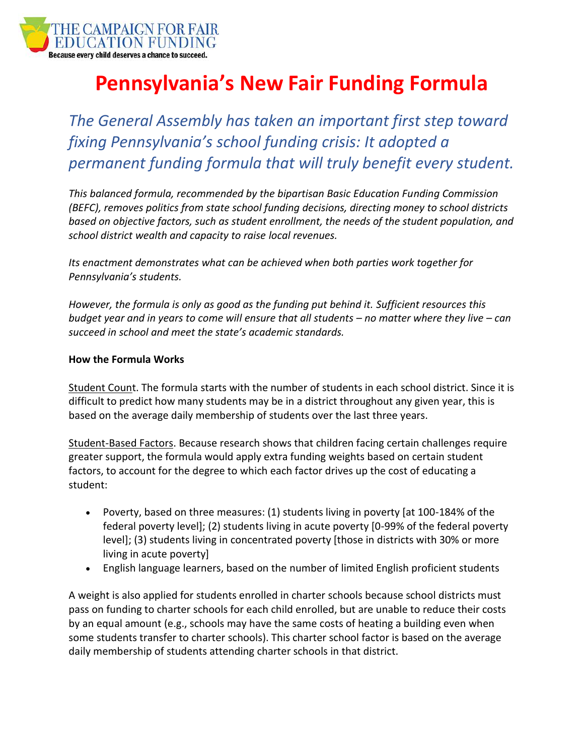

## **Pennsylvania's New Fair Funding Formula**

*The General Assembly has taken an important first step toward fixing Pennsylvania's school funding crisis: It adopted a permanent funding formula that will truly benefit every student.*

*This balanced formula, recommended by the bipartisan Basic Education Funding Commission (BEFC), removes politics from state school funding decisions, directing money to school districts based on objective factors, such as student enrollment, the needs of the student population, and school district wealth and capacity to raise local revenues.*

*Its enactment demonstrates what can be achieved when both parties work together for Pennsylvania's students.* 

*However, the formula is only as good as the funding put behind it. Sufficient resources this budget year and in years to come will ensure that all students – no matter where they live – can succeed in school and meet the state's academic standards.*

## **How the Formula Works**

Student Count. The formula starts with the number of students in each school district. Since it is difficult to predict how many students may be in a district throughout any given year, this is based on the average daily membership of students over the last three years.

Student-Based Factors. Because research shows that children facing certain challenges require greater support, the formula would apply extra funding weights based on certain student factors, to account for the degree to which each factor drives up the cost of educating a student:

- Poverty, based on three measures: (1) students living in poverty [at 100-184% of the federal poverty level]; (2) students living in acute poverty [0-99% of the federal poverty level]; (3) students living in concentrated poverty [those in districts with 30% or more living in acute poverty]
- English language learners, based on the number of limited English proficient students

A weight is also applied for students enrolled in charter schools because school districts must pass on funding to charter schools for each child enrolled, but are unable to reduce their costs by an equal amount (e.g., schools may have the same costs of heating a building even when some students transfer to charter schools). This charter school factor is based on the average daily membership of students attending charter schools in that district.